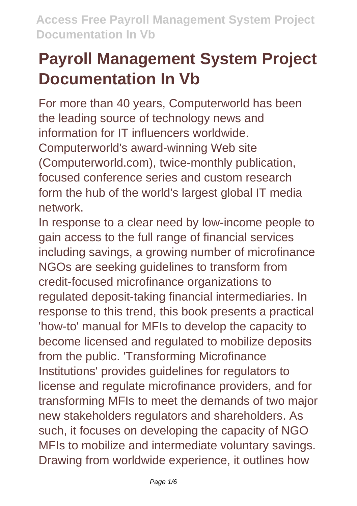# **Payroll Management System Project Documentation In Vb**

For more than 40 years, Computerworld has been the leading source of technology news and information for IT influencers worldwide. Computerworld's award-winning Web site (Computerworld.com), twice-monthly publication, focused conference series and custom research form the hub of the world's largest global IT media network.

In response to a clear need by low-income people to gain access to the full range of financial services including savings, a growing number of microfinance NGOs are seeking guidelines to transform from credit-focused microfinance organizations to regulated deposit-taking financial intermediaries. In response to this trend, this book presents a practical 'how-to' manual for MFIs to develop the capacity to become licensed and regulated to mobilize deposits from the public. 'Transforming Microfinance Institutions' provides guidelines for regulators to license and regulate microfinance providers, and for transforming MFIs to meet the demands of two major new stakeholders regulators and shareholders. As such, it focuses on developing the capacity of NGO MFIs to mobilize and intermediate voluntary savings. Drawing from worldwide experience, it outlines how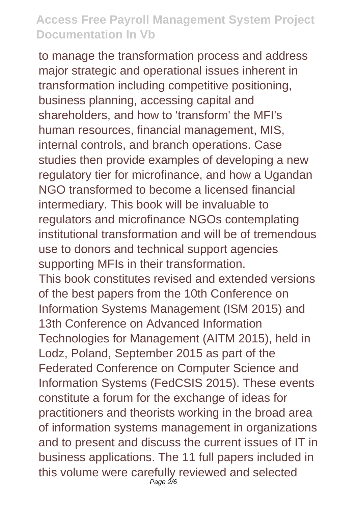to manage the transformation process and address major strategic and operational issues inherent in transformation including competitive positioning, business planning, accessing capital and shareholders, and how to 'transform' the MFI's human resources, financial management, MIS, internal controls, and branch operations. Case studies then provide examples of developing a new regulatory tier for microfinance, and how a Ugandan NGO transformed to become a licensed financial intermediary. This book will be invaluable to regulators and microfinance NGOs contemplating institutional transformation and will be of tremendous use to donors and technical support agencies supporting MFIs in their transformation. This book constitutes revised and extended versions of the best papers from the 10th Conference on Information Systems Management (ISM 2015) and 13th Conference on Advanced Information Technologies for Management (AITM 2015), held in Lodz, Poland, September 2015 as part of the Federated Conference on Computer Science and Information Systems (FedCSIS 2015). These events constitute a forum for the exchange of ideas for practitioners and theorists working in the broad area of information systems management in organizations and to present and discuss the current issues of IT in business applications. The 11 full papers included in this volume were carefully reviewed and selected Page 2/6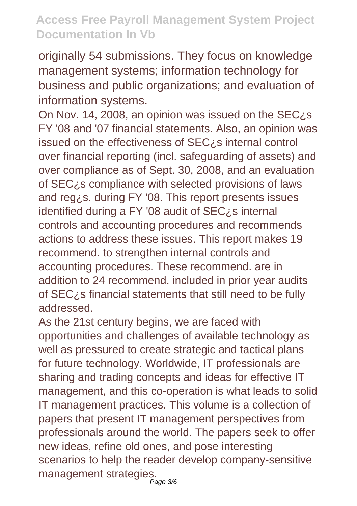originally 54 submissions. They focus on knowledge management systems; information technology for business and public organizations; and evaluation of information systems.

On Nov. 14, 2008, an opinion was issued on the SEC¿s FY '08 and '07 financial statements. Also, an opinion was issued on the effectiveness of SEC¿s internal control over financial reporting (incl. safeguarding of assets) and over compliance as of Sept. 30, 2008, and an evaluation of SEC¿s compliance with selected provisions of laws and reg¿s. during FY '08. This report presents issues identified during a FY '08 audit of SEC¿s internal controls and accounting procedures and recommends actions to address these issues. This report makes 19 recommend. to strengthen internal controls and accounting procedures. These recommend. are in addition to 24 recommend. included in prior year audits of SEC¿s financial statements that still need to be fully addressed.

As the 21st century begins, we are faced with opportunities and challenges of available technology as well as pressured to create strategic and tactical plans for future technology. Worldwide, IT professionals are sharing and trading concepts and ideas for effective IT management, and this co-operation is what leads to solid IT management practices. This volume is a collection of papers that present IT management perspectives from professionals around the world. The papers seek to offer new ideas, refine old ones, and pose interesting scenarios to help the reader develop company-sensitive management strategies.<br><sup>Page 3/6</sup>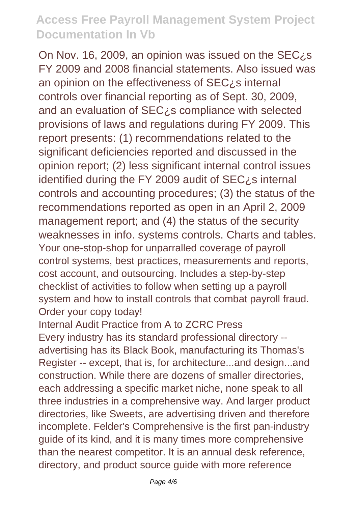On Nov. 16, 2009, an opinion was issued on the SEC¿s FY 2009 and 2008 financial statements. Also issued was an opinion on the effectiveness of  $SEC<sub>i</sub>$  s internal controls over financial reporting as of Sept. 30, 2009, and an evaluation of SEC¿s compliance with selected provisions of laws and regulations during FY 2009. This report presents: (1) recommendations related to the significant deficiencies reported and discussed in the opinion report; (2) less significant internal control issues identified during the FY 2009 audit of  $SEC<sub>i</sub>$ s internal controls and accounting procedures; (3) the status of the recommendations reported as open in an April 2, 2009 management report; and (4) the status of the security weaknesses in info. systems controls. Charts and tables. Your one-stop-shop for unparralled coverage of payroll control systems, best practices, measurements and reports, cost account, and outsourcing. Includes a step-by-step checklist of activities to follow when setting up a payroll system and how to install controls that combat payroll fraud. Order your copy today!

Internal Audit Practice from A to ZCRC Press Every industry has its standard professional directory - advertising has its Black Book, manufacturing its Thomas's Register -- except, that is, for architecture...and design...and construction. While there are dozens of smaller directories, each addressing a specific market niche, none speak to all three industries in a comprehensive way. And larger product directories, like Sweets, are advertising driven and therefore incomplete. Felder's Comprehensive is the first pan-industry guide of its kind, and it is many times more comprehensive than the nearest competitor. It is an annual desk reference, directory, and product source guide with more reference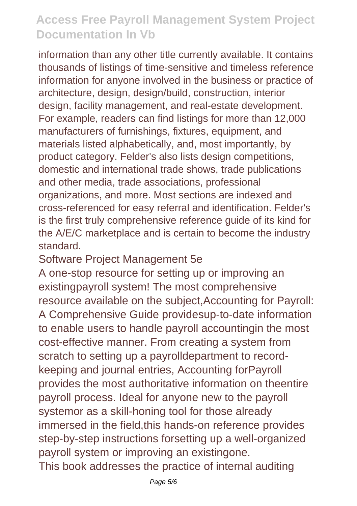information than any other title currently available. It contains thousands of listings of time-sensitive and timeless reference information for anyone involved in the business or practice of architecture, design, design/build, construction, interior design, facility management, and real-estate development. For example, readers can find listings for more than 12,000 manufacturers of furnishings, fixtures, equipment, and materials listed alphabetically, and, most importantly, by product category. Felder's also lists design competitions, domestic and international trade shows, trade publications and other media, trade associations, professional organizations, and more. Most sections are indexed and cross-referenced for easy referral and identification. Felder's is the first truly comprehensive reference guide of its kind for the A/E/C marketplace and is certain to become the industry standard.

#### Software Project Management 5e

A one-stop resource for setting up or improving an existingpayroll system! The most comprehensive resource available on the subject,Accounting for Payroll: A Comprehensive Guide providesup-to-date information to enable users to handle payroll accountingin the most cost-effective manner. From creating a system from scratch to setting up a payrolldepartment to recordkeeping and journal entries, Accounting forPayroll provides the most authoritative information on theentire payroll process. Ideal for anyone new to the payroll systemor as a skill-honing tool for those already immersed in the field,this hands-on reference provides step-by-step instructions forsetting up a well-organized payroll system or improving an existingone. This book addresses the practice of internal auditing